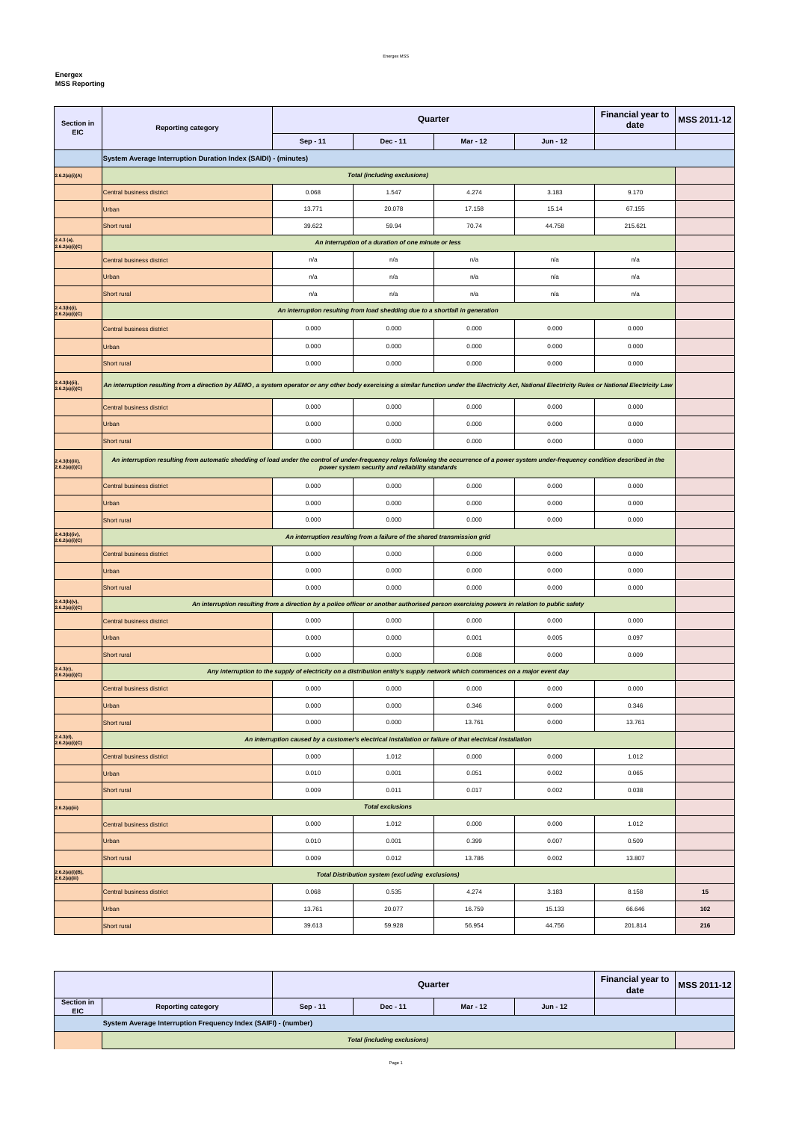Energex MSS

Page 1

## **Energex**

**MSS Reporting** 

| <b>Section in</b><br><b>EIC</b>    | <b>Reporting category</b>                                                                                                                                                                               |                         | Quarter                                                                                                                      | <b>Financial year to</b><br>date | MSS 2011-12 |         |     |  |  |
|------------------------------------|---------------------------------------------------------------------------------------------------------------------------------------------------------------------------------------------------------|-------------------------|------------------------------------------------------------------------------------------------------------------------------|----------------------------------|-------------|---------|-----|--|--|
|                                    |                                                                                                                                                                                                         | Sep - 11                | Dec - 11                                                                                                                     | <b>Mar - 12</b>                  | Jun - 12    |         |     |  |  |
|                                    | System Average Interruption Duration Index (SAIDI) - (minutes)                                                                                                                                          |                         |                                                                                                                              |                                  |             |         |     |  |  |
| 2.6.2(a)(i)(A)                     | <b>Total (including exclusions)</b>                                                                                                                                                                     |                         |                                                                                                                              |                                  |             |         |     |  |  |
|                                    | Central business district                                                                                                                                                                               | 0.068                   | 1.547                                                                                                                        | 4.274                            | 3.183       | 9.170   |     |  |  |
|                                    | <b>Urban</b>                                                                                                                                                                                            | 13.771                  | 20.078                                                                                                                       | 17.158                           | 15.14       | 67.155  |     |  |  |
|                                    | Short rural                                                                                                                                                                                             | 39.622                  | 59.94                                                                                                                        | 70.74                            | 44.758      | 215.621 |     |  |  |
| $2.4.3$ (a),<br>2.6.2(a)(i)(C)     | An interruption of a duration of one minute or less                                                                                                                                                     |                         |                                                                                                                              |                                  |             |         |     |  |  |
|                                    | Central business district                                                                                                                                                                               | n/a                     | n/a                                                                                                                          | n/a                              | n/a         | n/a     |     |  |  |
|                                    | <b>Urban</b>                                                                                                                                                                                            | n/a                     | n/a                                                                                                                          | n/a                              | n/a         | n/a     |     |  |  |
|                                    | Short rural                                                                                                                                                                                             | n/a                     | n/a                                                                                                                          | n/a                              | n/a         | n/a     |     |  |  |
| $2.4.3(b)(i)$ ,<br>2.6.2(a)(i)(C)  |                                                                                                                                                                                                         |                         | An interruption resulting from load shedding due to a shortfall in generation                                                |                                  |             |         |     |  |  |
|                                    | Central business district                                                                                                                                                                               | 0.000                   | 0.000                                                                                                                        | 0.000                            | 0.000       | 0.000   |     |  |  |
|                                    | Urban                                                                                                                                                                                                   | 0.000                   | 0.000                                                                                                                        | 0.000                            | 0.000       | 0.000   |     |  |  |
|                                    | Short rural                                                                                                                                                                                             | 0.000                   | 0.000                                                                                                                        | 0.000                            | 0.000       | 0.000   |     |  |  |
| $2.4.3(b)(ii)$ ,<br>2.6.2(a)(i)(C) | An interruption resulting from a direction by AEMO, a system operator or any other body exercising a similar function under the Electricity Act, National Electricity Rules or National Electricity Law |                         |                                                                                                                              |                                  |             |         |     |  |  |
|                                    | <b>Central business district</b>                                                                                                                                                                        | 0.000                   | 0.000                                                                                                                        | 0.000                            | 0.000       | 0.000   |     |  |  |
|                                    | Urban                                                                                                                                                                                                   | 0.000                   | 0.000                                                                                                                        | 0.000                            | 0.000       | 0.000   |     |  |  |
|                                    | Short rural                                                                                                                                                                                             | 0.000                   | 0.000                                                                                                                        | 0.000                            | 0.000       | 0.000   |     |  |  |
| 2.4.3(b)(iii),<br>2.6.2(a)(i)(C)   | An interruption resulting from automatic shedding of load under the control of under-frequency relays following the occurrence of a power system under-frequency condition described in the             |                         | power system security and reliability standards                                                                              |                                  |             |         |     |  |  |
|                                    | Central business district                                                                                                                                                                               | 0.000                   | 0.000                                                                                                                        | 0.000                            | 0.000       | 0.000   |     |  |  |
|                                    | Urban                                                                                                                                                                                                   | 0.000                   | 0.000                                                                                                                        | 0.000                            | 0.000       | 0.000   |     |  |  |
|                                    | Short rural                                                                                                                                                                                             | 0.000                   | 0.000                                                                                                                        | 0.000                            | 0.000       | 0.000   |     |  |  |
| 2.4.3(b)(iv),<br>2.6.2(a)(i)(C)    | An interruption resulting from a failure of the shared transmission grid                                                                                                                                |                         |                                                                                                                              |                                  |             |         |     |  |  |
|                                    | Central business district                                                                                                                                                                               | 0.000                   | 0.000                                                                                                                        | 0.000                            | 0.000       | 0.000   |     |  |  |
|                                    | Urban                                                                                                                                                                                                   | 0.000                   | 0.000                                                                                                                        | 0.000                            | 0.000       | 0.000   |     |  |  |
|                                    | <b>Short</b> rural                                                                                                                                                                                      | 0.000                   | 0.000                                                                                                                        | 0.000                            | 0.000       | 0.000   |     |  |  |
| $2.4.3(b)(v),$<br>$2.6.2(a)(i)(C)$ | An interruption resulting from a direction by a police officer or another authorised person exercising powers in relation to public safety                                                              |                         |                                                                                                                              |                                  |             |         |     |  |  |
|                                    | <b>Central business district</b>                                                                                                                                                                        | 0.000                   | 0.000                                                                                                                        | 0.000                            | 0.000       | 0.000   |     |  |  |
|                                    | Urban                                                                                                                                                                                                   | 0.000                   | 0.000                                                                                                                        | 0.001                            | 0.005       | 0.097   |     |  |  |
|                                    | Short rural                                                                                                                                                                                             | 0.000                   | 0.000                                                                                                                        | 0.008                            | 0.000       | 0.009   |     |  |  |
| 2.4.3(c),<br>2.6.2(a)(i)(C)        |                                                                                                                                                                                                         |                         | Any interruption to the supply of electricity on a distribution entity's supply network which commences on a major event day |                                  |             |         |     |  |  |
|                                    | <b>Central business district</b>                                                                                                                                                                        | 0.000                   | 0.000                                                                                                                        | 0.000                            | 0.000       | 0.000   |     |  |  |
|                                    | Urban                                                                                                                                                                                                   | 0.000                   | 0.000                                                                                                                        | 0.346                            | 0.000       | 0.346   |     |  |  |
|                                    | Short rural                                                                                                                                                                                             | 0.000                   | 0.000                                                                                                                        | 13.761                           | 0.000       | 13.761  |     |  |  |
| $2.4.3(d),$<br>$2.6.2(a)(i)(C)$    |                                                                                                                                                                                                         |                         | An interruption caused by a customer's electrical installation or failure of that electrical installation                    |                                  |             |         |     |  |  |
|                                    | <b>Central business district</b>                                                                                                                                                                        | 0.000                   | 1.012                                                                                                                        | 0.000                            | 0.000       | 1.012   |     |  |  |
|                                    | Urban                                                                                                                                                                                                   | 0.010                   | 0.001                                                                                                                        | 0.051                            | 0.002       | 0.065   |     |  |  |
|                                    | Short rural                                                                                                                                                                                             | 0.009                   | 0.011                                                                                                                        | 0.017                            | 0.002       | 0.038   |     |  |  |
| 2.6.2(a)(iii)                      |                                                                                                                                                                                                         | <b>Total exclusions</b> |                                                                                                                              |                                  |             |         |     |  |  |
|                                    | <b>Central business district</b>                                                                                                                                                                        | 0.000                   | 1.012                                                                                                                        | 0.000                            | 0.000       | 1.012   |     |  |  |
|                                    | Urban                                                                                                                                                                                                   | 0.010                   | 0.001                                                                                                                        | 0.399                            | 0.007       | 0.509   |     |  |  |
|                                    | Short rural                                                                                                                                                                                             | 0.009                   | 0.012                                                                                                                        | 13.786                           | 0.002       | 13.807  |     |  |  |
| 2.6.2(a)(i)(B),<br>2.6.2(a)(iii)   |                                                                                                                                                                                                         |                         | <b>Total Distribution system (excluding exclusions)</b>                                                                      |                                  |             |         |     |  |  |
|                                    | <b>Central business district</b>                                                                                                                                                                        | 0.068                   | 0.535                                                                                                                        | 4.274                            | 3.183       | 8.158   | 15  |  |  |
|                                    | Urban                                                                                                                                                                                                   | 13.761                  | 20.077                                                                                                                       | 16.759                           | 15.133      | 66.646  | 102 |  |  |
|                                    | Short rural                                                                                                                                                                                             | 39.613                  | 59.928                                                                                                                       | 56.954                           | 44.756      | 201.814 | 216 |  |  |

|                                                                |                                     | Quarter  |          |          |          | <b>Financial year to</b><br>date | <b>MSS 2011-12</b> |
|----------------------------------------------------------------|-------------------------------------|----------|----------|----------|----------|----------------------------------|--------------------|
| Section in<br><b>EIC</b>                                       | <b>Reporting category</b>           | Sep - 11 | Dec - 11 | Mar - 12 | Jun - 12 |                                  |                    |
| System Average Interruption Frequency Index (SAIFI) - (number) |                                     |          |          |          |          |                                  |                    |
|                                                                | <b>Total (including exclusions)</b> |          |          |          |          |                                  |                    |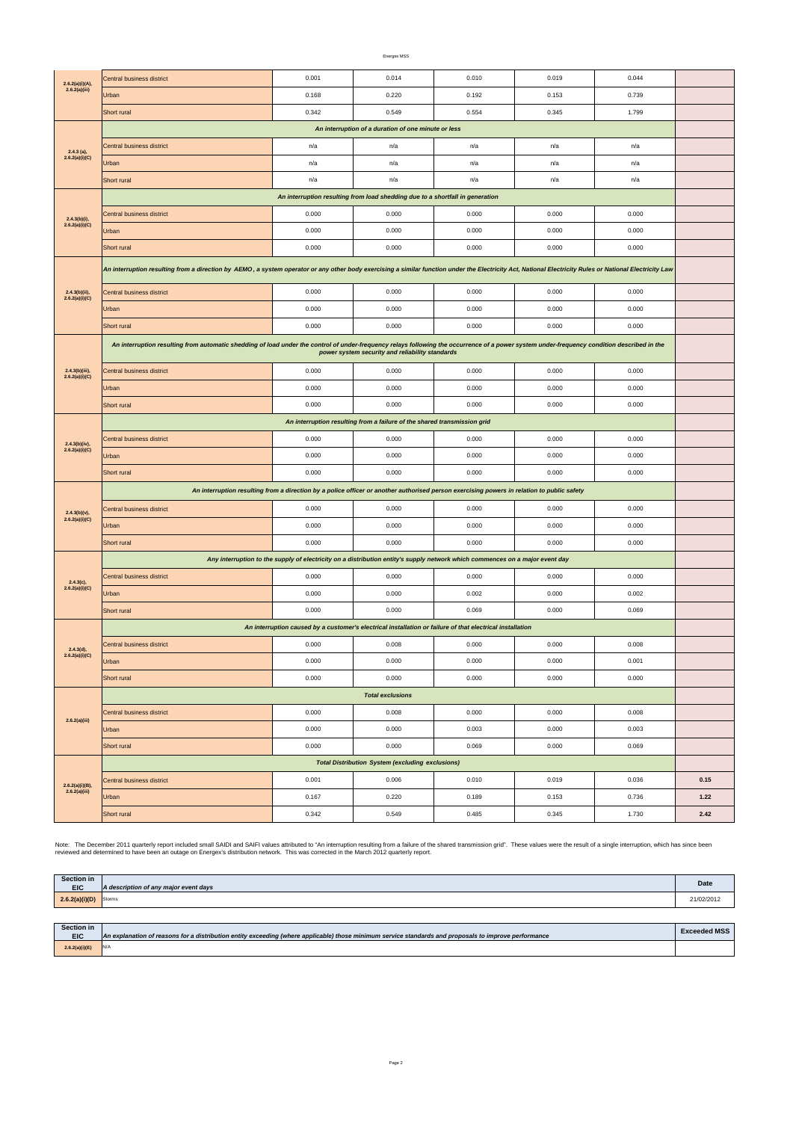Energex MSS

Page 2

| 2.6.2(a)(i)(A),<br>2.6.2(a)(iii)   | Central business district                                                                                                                                                                                                                      | 0.001                                                                                                     | 0.014                                                   | 0.010 | 0.019 | 0.044 |      |  |  |
|------------------------------------|------------------------------------------------------------------------------------------------------------------------------------------------------------------------------------------------------------------------------------------------|-----------------------------------------------------------------------------------------------------------|---------------------------------------------------------|-------|-------|-------|------|--|--|
|                                    | Urban                                                                                                                                                                                                                                          | 0.168                                                                                                     | 0.220                                                   | 0.192 | 0.153 | 0.739 |      |  |  |
|                                    | Short rural                                                                                                                                                                                                                                    | 0.342                                                                                                     | 0.549                                                   | 0.554 | 0.345 | 1.799 |      |  |  |
|                                    | An interruption of a duration of one minute or less                                                                                                                                                                                            |                                                                                                           |                                                         |       |       |       |      |  |  |
| $2.4.3$ (a),<br>2.6.2(a)(i)(C)     | Central business district                                                                                                                                                                                                                      | n/a                                                                                                       | n/a                                                     | n/a   | n/a   | n/a   |      |  |  |
|                                    | <b>Urban</b>                                                                                                                                                                                                                                   | n/a                                                                                                       | n/a                                                     | n/a   | n/a   | n/a   |      |  |  |
|                                    | Short rural                                                                                                                                                                                                                                    | n/a                                                                                                       | n/a                                                     | n/a   | n/a   | n/a   |      |  |  |
|                                    | An interruption resulting from load shedding due to a shortfall in generation                                                                                                                                                                  |                                                                                                           |                                                         |       |       |       |      |  |  |
| $2.4.3(b)(i)$ ,                    | Central business district                                                                                                                                                                                                                      | 0.000                                                                                                     | 0.000                                                   | 0.000 | 0.000 | 0.000 |      |  |  |
| 2.6.2(a)(i)(C)                     | <b>Urban</b>                                                                                                                                                                                                                                   | 0.000                                                                                                     | 0.000                                                   | 0.000 | 0.000 | 0.000 |      |  |  |
|                                    | Short rural                                                                                                                                                                                                                                    | 0.000                                                                                                     | 0.000                                                   | 0.000 | 0.000 | 0.000 |      |  |  |
|                                    | An interruption resulting from a direction by AEMO, a system operator or any other body exercising a similar function under the Electricity Act, National Electricity Rules or National Electricity Rules or National Electric                 |                                                                                                           |                                                         |       |       |       |      |  |  |
| $2.4.3(b)(ii)$ ,<br>2.6.2(a)(i)(C) | Central business district                                                                                                                                                                                                                      | 0.000                                                                                                     | 0.000                                                   | 0.000 | 0.000 | 0.000 |      |  |  |
|                                    | <b>Urban</b>                                                                                                                                                                                                                                   | 0.000                                                                                                     | 0.000                                                   | 0.000 | 0.000 | 0.000 |      |  |  |
|                                    | Short rural                                                                                                                                                                                                                                    | 0.000                                                                                                     | 0.000                                                   | 0.000 | 0.000 | 0.000 |      |  |  |
|                                    | An interruption resulting from automatic shedding of load under the control of under-frequency relays following the occurrence of a power system under-frequency condition described in the<br>power system security and reliability standards |                                                                                                           |                                                         |       |       |       |      |  |  |
| 2.4.3(b)(iii),<br>2.6.2(a)(i)(C)   | Central business district                                                                                                                                                                                                                      | 0.000                                                                                                     | 0.000                                                   | 0.000 | 0.000 | 0.000 |      |  |  |
|                                    | <b>Urban</b>                                                                                                                                                                                                                                   | 0.000                                                                                                     | 0.000                                                   | 0.000 | 0.000 | 0.000 |      |  |  |
|                                    | Short rural                                                                                                                                                                                                                                    | 0.000                                                                                                     | 0.000                                                   | 0.000 | 0.000 | 0.000 |      |  |  |
|                                    | An interruption resulting from a failure of the shared transmission grid                                                                                                                                                                       |                                                                                                           |                                                         |       |       |       |      |  |  |
| 2.4.3(b)(iv),                      | Central business district                                                                                                                                                                                                                      | 0.000                                                                                                     | 0.000                                                   | 0.000 | 0.000 | 0.000 |      |  |  |
| 2.6.2(a)(i)(C)                     | Urban                                                                                                                                                                                                                                          | 0.000                                                                                                     | 0.000                                                   | 0.000 | 0.000 | 0.000 |      |  |  |
|                                    | <b>Short rural</b>                                                                                                                                                                                                                             | 0.000                                                                                                     | 0.000                                                   | 0.000 | 0.000 | 0.000 |      |  |  |
|                                    | An interruption resulting from a direction by a police officer or another authorised person exercising powers in relation to public safety                                                                                                     |                                                                                                           |                                                         |       |       |       |      |  |  |
| $2.4.3(b)(v),$<br>$2.6.2(a)(i)(C)$ | Central business district                                                                                                                                                                                                                      | 0.000                                                                                                     | 0.000                                                   | 0.000 | 0.000 | 0.000 |      |  |  |
|                                    | <b>Urban</b>                                                                                                                                                                                                                                   | 0.000                                                                                                     | 0.000                                                   | 0.000 | 0.000 | 0.000 |      |  |  |
|                                    | Short rural                                                                                                                                                                                                                                    | 0.000                                                                                                     | 0.000                                                   | 0.000 | 0.000 | 0.000 |      |  |  |
|                                    | Any interruption to the supply of electricity on a distribution entity's supply network which commences on a major event day                                                                                                                   |                                                                                                           |                                                         |       |       |       |      |  |  |
| $2.4.3(c)$ ,                       | Central business district                                                                                                                                                                                                                      | 0.000                                                                                                     | 0.000                                                   | 0.000 | 0.000 | 0.000 |      |  |  |
| 2.6.2(a)(i)(C)                     | Urban                                                                                                                                                                                                                                          | 0.000                                                                                                     | 0.000                                                   | 0.002 | 0.000 | 0.002 |      |  |  |
|                                    | Short rural                                                                                                                                                                                                                                    | 0.000                                                                                                     | 0.000                                                   | 0.069 | 0.000 | 0.069 |      |  |  |
|                                    |                                                                                                                                                                                                                                                | An interruption caused by a customer's electrical installation or failure of that electrical installation |                                                         |       |       |       |      |  |  |
| 2.4.3(d),<br>2.6.2(a)(i)(C)        | Central business district                                                                                                                                                                                                                      | 0.000                                                                                                     | 0.008                                                   | 0.000 | 0.000 | 0.008 |      |  |  |
|                                    | Urban                                                                                                                                                                                                                                          | 0.000                                                                                                     | 0.000                                                   | 0.000 | 0.000 | 0.001 |      |  |  |
|                                    | Short rural                                                                                                                                                                                                                                    | 0.000                                                                                                     | 0.000                                                   | 0.000 | 0.000 | 0.000 |      |  |  |
| 2.6.2(a)(iii)                      | <b>Total exclusions</b>                                                                                                                                                                                                                        |                                                                                                           |                                                         |       |       |       |      |  |  |
|                                    | Central business district                                                                                                                                                                                                                      | 0.000                                                                                                     | 0.008                                                   | 0.000 | 0.000 | 0.008 |      |  |  |
|                                    | <b>Urban</b>                                                                                                                                                                                                                                   | 0.000                                                                                                     | 0.000                                                   | 0.003 | 0.000 | 0.003 |      |  |  |
|                                    | Short rural                                                                                                                                                                                                                                    | 0.000                                                                                                     | 0.000                                                   | 0.069 | 0.000 | 0.069 |      |  |  |
|                                    |                                                                                                                                                                                                                                                |                                                                                                           | <b>Total Distribution System (excluding exclusions)</b> |       |       |       |      |  |  |
| 2.6.2(a)(i)(B),<br>2.6.2(a)(iii)   | Central business district                                                                                                                                                                                                                      | 0.001                                                                                                     | 0.006                                                   | 0.010 | 0.019 | 0.036 | 0.15 |  |  |
|                                    | <b>Urban</b>                                                                                                                                                                                                                                   | 0.167                                                                                                     | 0.220                                                   | 0.189 | 0.153 | 0.736 | 1.22 |  |  |
|                                    | Short rural                                                                                                                                                                                                                                    | 0.342                                                                                                     | 0.549                                                   | 0.485 | 0.345 | 1.730 | 2.42 |  |  |

Note: The December 2011 quarterly report included small SAIDI and SAIFI values attributed to "An interruption resulting from a failure of the shared transmission grid". These values were the result of a single interruption

| Section in     | A description of any major event days | Date       |
|----------------|---------------------------------------|------------|
| 2.6.2(a)(i)(D) | Storms                                | 21/02/2012 |

| Section in<br><b>EIC</b> | An explanation of reasons for a distribution entity exceeding (where applicable) those minimum service standards and proposals to improve performance | <b>Exceeded MSS</b> |
|--------------------------|-------------------------------------------------------------------------------------------------------------------------------------------------------|---------------------|
| 2.6.2(a)(i)(E)           | IN/A                                                                                                                                                  |                     |

reviewed and determined to have been an outage on Energex's distribution network. This was corrected in the March 2012 quarterly report.